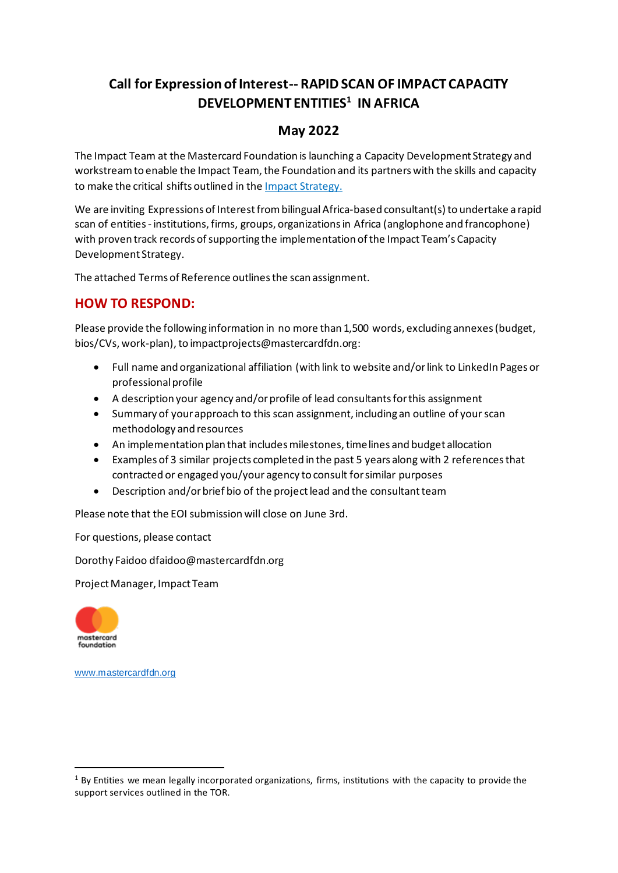# **Call for Expression of Interest-- RAPID SCAN OF IMPACT CAPACITY DEVELOPMENT ENTITIES<sup>1</sup> IN AFRICA**

### **May 2022**

The Impact Team at the Mastercard Foundation is launching a Capacity Development Strategy and workstream to enable the Impact Team, the Foundation and its partners with the skills and capacity to make the critical shifts outlined in the Impact Strategy.

We are inviting Expressions of Interest from bilingual Africa-based consultant(s) to undertake a rapid scan of entities - institutions, firms, groups, organizations in Africa (anglophone and francophone) with proven track records of supporting the implementation of the Impact Team's Capacity Development Strategy.

The attached Terms of Reference outlines the scan assignment.

#### **HOW TO RESPOND:**

Please provide the following information in no more than 1,500 words, excluding annexes (budget, bios/CVs, work-plan), to impactprojects@mastercardfdn.org:

- Full name and organizational affiliation (with link to website and/or link to LinkedIn Pages or professionalprofile
- A description your agency and/or profile of lead consultants for this assignment
- Summary of your approach to this scan assignment, including an outline of your scan methodology and resources
- An implementation plan that includes milestones, timelines and budget allocation
- Examples of 3 similar projects completed in the past 5 years along with 2 references that contracted or engaged you/your agency to consult for similar purposes
- Description and/or brief bio of the project lead and the consultant team

Please note that the EOI submission will close on June 3rd.

For questions, please contact

Dorothy Faidoo dfaidoo@mastercardfdn.org

Project Manager, Impact Team



www.mastercardfdn.org

 $1$  By Entities we mean legally incorporated organizations, firms, institutions with the capacity to provide the support services outlined in the TOR.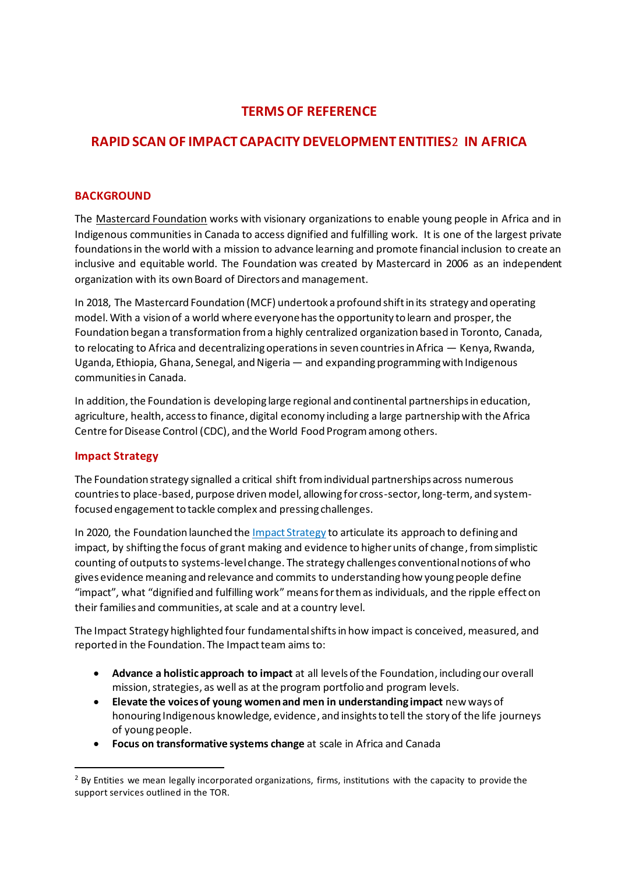### **TERMS OF REFERENCE**

# **RAPID SCAN OF IMPACT CAPACITY DEVELOPMENT ENTITIES**2 **IN AFRICA**

#### **BACKGROUND**

The Mastercard Foundation works with visionary organizations to enable young people in Africa and in Indigenous communities in Canada to access dignified and fulfilling work. It is one of the largest private foundations in the world with a mission to advance learning and promote financial inclusion to create an inclusive and equitable world. The Foundation was created by Mastercard in 2006 as an independent organization with its own Board of Directors and management.

In 2018, The Mastercard Foundation (MCF) undertook a profound shift in its strategy and operating model. With a vision of a world where everyone has the opportunity to learn and prosper, the Foundation began a transformation from a highly centralized organization based in Toronto, Canada, to relocating to Africa and decentralizing operations in seven countries in Africa — Kenya, Rwanda, Uganda, Ethiopia, Ghana, Senegal, and Nigeria — and expanding programming with Indigenous communities in Canada.

In addition, the Foundation is developing large regional and continental partnerships in education, agriculture, health, access to finance, digital economy including a large partnership with the Africa Centre for Disease Control (CDC), and the World Food Program among others.

#### **Impact Strategy**

The Foundation strategy signalled a critical shift from individual partnerships across numerous countries to place-based, purpose driven model, allowing for cross-sector, long-term, and systemfocused engagement to tackle complex and pressing challenges.

In 2020, the Foundation launched the Impact Strategy to articulate its approach to defining and impact, by shifting the focus of grant making and evidence to higher units of change, from simplistic counting of outputs to systems-level change. The strategy challenges conventional notions of who gives evidence meaning and relevance and commits to understandinghow young people define "impact", what "dignified and fulfilling work" means for them as individuals, and the ripple effect on their families and communities, at scale and at a country level.

The Impact Strategy highlighted four fundamental shiftsin how impact is conceived, measured, and reported in the Foundation. The Impact team aims to:

- **Advance a holistic approach to impact** at all levels of the Foundation, including our overall mission, strategies, as well as at the program portfolio and program levels.
- **Elevate the voices of young women and men in understanding impact** new ways of honouring Indigenous knowledge, evidence, and insights to tell the story of the life journeys of young people.
- **Focus on transformative systems change** at scale in Africa and Canada

<sup>&</sup>lt;sup>2</sup> By Entities we mean legally incorporated organizations, firms, institutions with the capacity to provide the support services outlined in the TOR.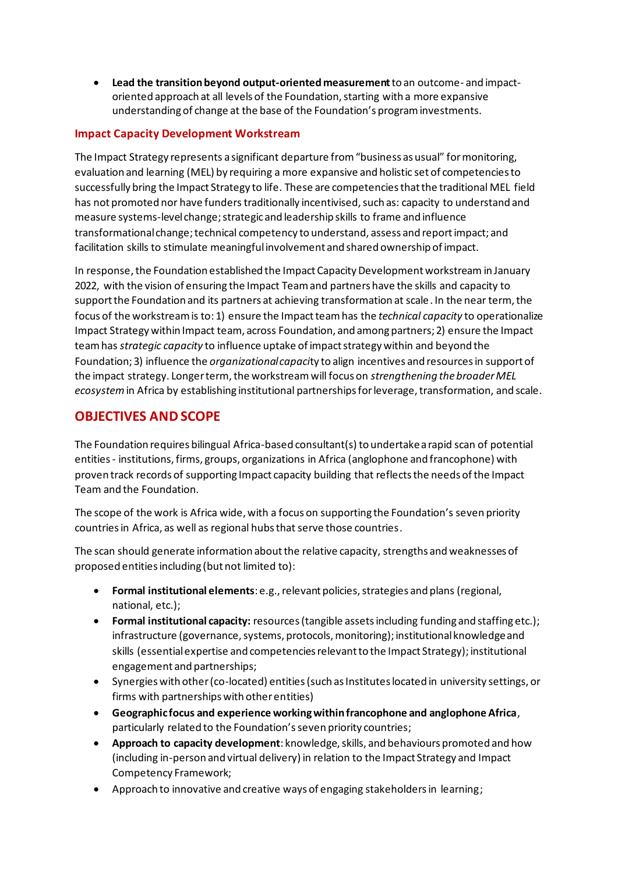• **Lead the transition beyond output-oriented measurement**to an outcome- and impactoriented approach at all levels of the Foundation, starting with a more expansive understanding of change at the base of the Foundation's program investments.

#### **Impact Capacity Development Workstream**

The Impact Strategy represents a significant departure from "business as usual" for monitoring, evaluation and learning (MEL) by requiring a more expansive and holistic set of competencies to successfully bring the Impact Strategy to life. These are competencies that the traditional MEL field has not promoted nor have funders traditionally incentivised, such as: capacity to understand and measure systems-level change; strategic and leadership skills to frame and influence transformational change; technical competency to understand, assess and report impact; and facilitation skills to stimulate meaningful involvement and shared ownership of impact.

In response, the Foundation established the Impact Capacity Development workstream in January 2022, with the vision of ensuring the Impact Team and partners have the skills and capacity to support the Foundation and its partners at achieving transformation at scale. In the near term, the focus of the workstream is to: 1) ensure the Impact team has the *technical capacity* to operationalize Impact Strategy within Impact team, across Foundation, and among partners; 2) ensure the Impact team has *strategic capacity* to influence uptake of impact strategy within and beyond the Foundation; 3) influence the *organizational capaci*ty to align incentives and resources in support of the impact strategy. Longer term, the workstreamwill focus on *strengthening the broader MEL ecosystem*in Africa by establishing institutional partnerships for leverage, transformation, and scale.

#### **OBJECTIVES AND SCOPE**

The Foundation requires bilingual Africa-based consultant(s) to undertake a rapid scan of potential entities - institutions, firms, groups, organizations in Africa (anglophone and francophone) with proven track records of supporting Impact capacity building that reflects the needs of the Impact Team and the Foundation.

The scope of the work is Africa wide, with a focus on supporting the Foundation's seven priority countries in Africa, as well as regional hubs that serve those countries.

The scan should generate information about the relative capacity, strengths and weaknesses of proposed entities including (but not limited to):

- **Formal institutional elements**: e.g.,relevant policies, strategies and plans (regional, national, etc.);
- **Formal institutional capacity:** resources (tangible assets including funding and staffing etc.); infrastructure (governance, systems, protocols, monitoring); institutional knowledge and skills (essential expertise and competencies relevant to the Impact Strategy); institutional engagement and partnerships;
- Synergies with other (co-located) entities (such as Institutes located in university settings, or firms with partnerships with other entities)
- **Geographic focus and experience working within francophone and anglophone Africa**, particularly related to the Foundation's seven priority countries;
- **Approach to capacity development**: knowledge, skills, and behaviours promoted and how (including in-person and virtual delivery) in relation to the Impact Strategy and Impact Competency Framework;
- Approach to innovative and creative ways of engaging stakeholders in learning;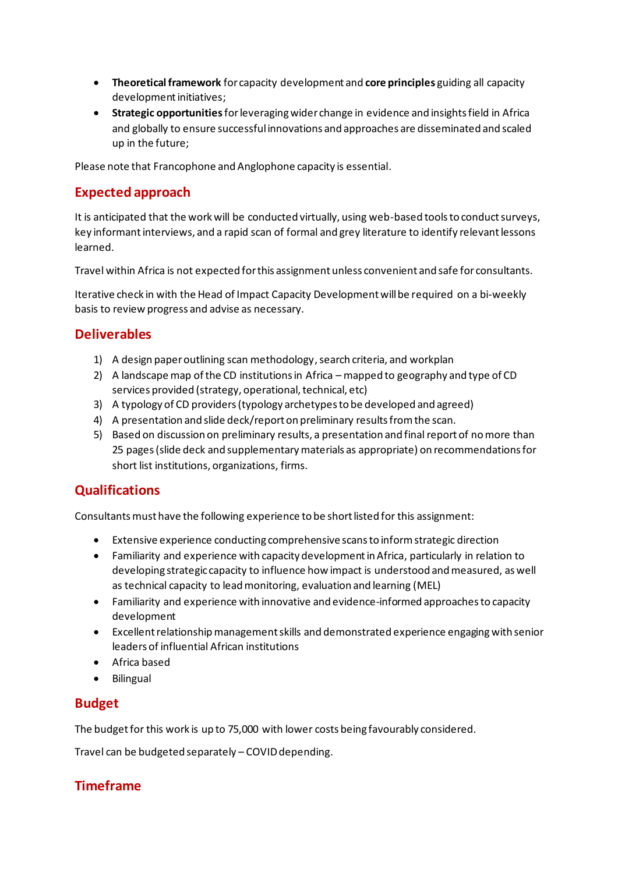- **Theoretical framework** for capacity development and **core principles** guiding all capacity development initiatives;
- **Strategic opportunities**for leveraging wider change in evidence and insights field in Africa and globally to ensure successful innovations and approaches are disseminated and scaled up in the future;

Please note that Francophone and Anglophone capacity is essential.

# **Expected approach**

It is anticipated that the work will be conducted virtually, using web-based tools to conduct surveys, key informant interviews, and a rapid scan of formal and grey literature to identify relevant lessons learned.

Travel within Africa is not expected for this assignment unless convenient and safe for consultants.

Iterative check in with the Head of Impact Capacity Development will be required on a bi-weekly basis to review progress and advise as necessary.

# **Deliverables**

- 1) A design paper outlining scan methodology, search criteria, and workplan
- 2) A landscape map of the CD institutions in Africa mapped to geography and type of CD services provided (strategy, operational, technical, etc)
- 3) A typology of CD providers (typology archetypes to be developed and agreed)
- 4) A presentation and slide deck/report on preliminary results from the scan.
- 5) Based on discussion on preliminary results, a presentation and final report of no more than 25 pages (slide deck and supplementary materials as appropriate) on recommendations for short list institutions, organizations, firms.

# **Qualifications**

Consultants must have the following experience to be short listed for this assignment:

- Extensive experience conducting comprehensive scans to inform strategic direction
- Familiarity and experience with capacity development in Africa, particularly in relation to developing strategic capacity to influence how impact is understood and measured, as well as technical capacity to lead monitoring, evaluation and learning (MEL)
- Familiarity and experience with innovative and evidence-informed approaches to capacity development
- Excellent relationship management skills and demonstrated experience engaging with senior leaders of influential African institutions
- Africa based
- Bilingual

#### **Budget**

The budget for this work is up to 75,000 with lower costs being favourably considered.

Travel can be budgeted separately – COVID depending.

# **Timeframe**